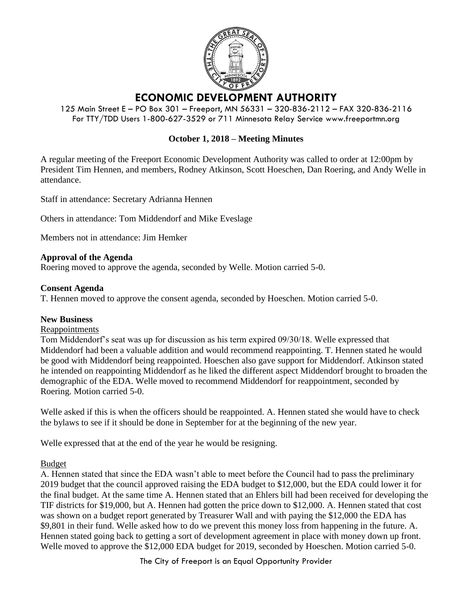

# **ECONOMIC DEVELOPMENT AUTHORITY**

125 Main Street E – PO Box 301 – Freeport, MN 56331 – 320-836-2112 – FAX 320-836-2116 For TTY/TDD Users 1-800-627-3529 or 711 Minnesota Relay Service www.freeportmn.org

# **October 1, 2018 – Meeting Minutes**

A regular meeting of the Freeport Economic Development Authority was called to order at 12:00pm by President Tim Hennen, and members, Rodney Atkinson, Scott Hoeschen, Dan Roering, and Andy Welle in attendance.

Staff in attendance: Secretary Adrianna Hennen

Others in attendance: Tom Middendorf and Mike Eveslage

Members not in attendance: Jim Hemker

## **Approval of the Agenda**

Roering moved to approve the agenda, seconded by Welle. Motion carried 5-0.

## **Consent Agenda**

T. Hennen moved to approve the consent agenda, seconded by Hoeschen. Motion carried 5-0.

#### **New Business**

#### Reappointments

Tom Middendorf's seat was up for discussion as his term expired 09/30/18. Welle expressed that Middendorf had been a valuable addition and would recommend reappointing. T. Hennen stated he would be good with Middendorf being reappointed. Hoeschen also gave support for Middendorf. Atkinson stated he intended on reappointing Middendorf as he liked the different aspect Middendorf brought to broaden the demographic of the EDA. Welle moved to recommend Middendorf for reappointment, seconded by Roering. Motion carried 5-0.

Welle asked if this is when the officers should be reappointed. A. Hennen stated she would have to check the bylaws to see if it should be done in September for at the beginning of the new year.

Welle expressed that at the end of the year he would be resigning.

#### Budget

A. Hennen stated that since the EDA wasn't able to meet before the Council had to pass the preliminary 2019 budget that the council approved raising the EDA budget to \$12,000, but the EDA could lower it for the final budget. At the same time A. Hennen stated that an Ehlers bill had been received for developing the TIF districts for \$19,000, but A. Hennen had gotten the price down to \$12,000. A. Hennen stated that cost was shown on a budget report generated by Treasurer Wall and with paying the \$12,000 the EDA has \$9,801 in their fund. Welle asked how to do we prevent this money loss from happening in the future. A. Hennen stated going back to getting a sort of development agreement in place with money down up front. Welle moved to approve the \$12,000 EDA budget for 2019, seconded by Hoeschen. Motion carried 5-0.